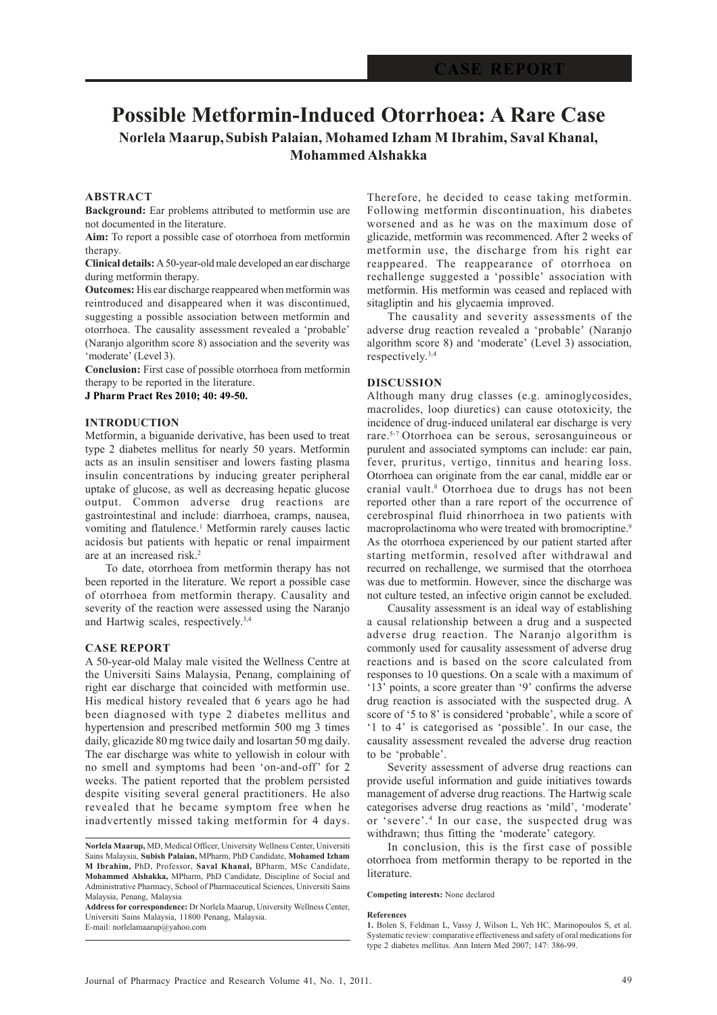# **Possible Metformin-Induced Otorrhoea: A Rare Case Norlela Maarup,Subish Palaian, Mohamed Izham M Ibrahim, Saval Khanal, Mohammed Alshakka**

## **ABSTRACT**

**Background:** Ear problems attributed to metformin use are not documented in the literature.

**Aim:** To report a possible case of otorrhoea from metformin therapy.

**Clinical details:** A 50-year-old male developed an ear discharge during metformin therapy.

**Outcomes:** His ear discharge reappeared when metformin was reintroduced and disappeared when it was discontinued, suggesting a possible association between metformin and otorrhoea. The causality assessment revealed a 'probable' (Naranjo algorithm score 8) association and the severity was 'moderate' (Level 3).

**Conclusion:** First case of possible otorrhoea from metformin therapy to be reported in the literature.

**J Pharm Pract Res 2010; 40: 49-50.**

### **INTRODUCTION**

Metformin, a biguanide derivative, has been used to treat type 2 diabetes mellitus for nearly 50 years. Metformin acts as an insulin sensitiser and lowers fasting plasma insulin concentrations by inducing greater peripheral uptake of glucose, as well as decreasing hepatic glucose output. Common adverse drug reactions are gastrointestinal and include: diarrhoea, cramps, nausea, vomiting and flatulence.<sup>1</sup> Metformin rarely causes lactic acidosis but patients with hepatic or renal impairment are at an increased risk.<sup>2</sup>

To date, otorrhoea from metformin therapy has not been reported in the literature. We report a possible case of otorrhoea from metformin therapy. Causality and severity of the reaction were assessed using the Naranjo and Hartwig scales, respectively.3,4

#### **CASE REPORT**

A 50-year-old Malay male visited the Wellness Centre at the Universiti Sains Malaysia, Penang, complaining of right ear discharge that coincided with metformin use. His medical history revealed that 6 years ago he had been diagnosed with type 2 diabetes mellitus and hypertension and prescribed metformin 500 mg 3 times daily, glicazide 80 mg twice daily and losartan 50 mg daily. The ear discharge was white to yellowish in colour with no smell and symptoms had been 'on-and-off' for 2 weeks. The patient reported that the problem persisted despite visiting several general practitioners. He also revealed that he became symptom free when he inadvertently missed taking metformin for 4 days.

Therefore, he decided to cease taking metformin. Following metformin discontinuation, his diabetes worsened and as he was on the maximum dose of glicazide, metformin was recommenced. After 2 weeks of metformin use, the discharge from his right ear reappeared. The reappearance of otorrhoea on rechallenge suggested a 'possible' association with metformin. His metformin was ceased and replaced with sitagliptin and his glycaemia improved.

The causality and severity assessments of the adverse drug reaction revealed a 'probable' (Naranjo algorithm score 8) and 'moderate' (Level 3) association, respectively.3,4

### **DISCUSSION**

Although many drug classes (e.g. aminoglycosides, macrolides, loop diuretics) can cause ototoxicity, the incidence of drug-induced unilateral ear discharge is very rare.5-7 Otorrhoea can be serous, serosanguineous or purulent and associated symptoms can include: ear pain, fever, pruritus, vertigo, tinnitus and hearing loss. Otorrhoea can originate from the ear canal, middle ear or cranial vault.<sup>8</sup> Otorrhoea due to drugs has not been reported other than a rare report of the occurrence of cerebrospinal fluid rhinorrhoea in two patients with macroprolactinoma who were treated with bromocriptine.<sup>9</sup> As the otorrhoea experienced by our patient started after starting metformin, resolved after withdrawal and recurred on rechallenge, we surmised that the otorrhoea was due to metformin. However, since the discharge was not culture tested, an infective origin cannot be excluded.

Causality assessment is an ideal way of establishing a causal relationship between a drug and a suspected adverse drug reaction. The Naranjo algorithm is commonly used for causality assessment of adverse drug reactions and is based on the score calculated from responses to 10 questions. On a scale with a maximum of '13' points, a score greater than '9' confirms the adverse drug reaction is associated with the suspected drug. A score of '5 to 8' is considered 'probable', while a score of '1 to 4' is categorised as 'possible'. In our case, the causality assessment revealed the adverse drug reaction to be 'probable'.

Severity assessment of adverse drug reactions can provide useful information and guide initiatives towards management of adverse drug reactions. The Hartwig scale categorises adverse drug reactions as 'mild', 'moderate' or 'severe'.<sup>4</sup> In our case, the suspected drug was withdrawn; thus fitting the 'moderate' category.

In conclusion, this is the first case of possible otorrhoea from metformin therapy to be reported in the literature.

#### **Competing interests:** None declared

**References**

**Norlela Maarup,** MD, Medical Officer, University Wellness Center, Universiti Sains Malaysia, **Subish Palaian,** MPharm, PhD Candidate, **Mohamed Izham M Ibrahim,** PhD, Professor, **Saval Khanal,** BPharm, MSc Candidate, **Mohammed Alshakka,** MPharm, PhD Candidate, Discipline of Social and Administrative Pharmacy, School of Pharmaceutical Sciences, Universiti Sains Malaysia, Penang, Malaysia

**Address for correspondence:** Dr Norlela Maarup, University Wellness Center, Universiti Sains Malaysia, 11800 Penang, Malaysia. E-mail: norlelamaarup@yahoo.com

**<sup>1.</sup>** Bolen S, Feldman L, Vassy J, Wilson L, Yeh HC, Marinopoulos S, et al. Systematic review: comparative effectiveness and safety of oral medications for type 2 diabetes mellitus. Ann Intern Med 2007; 147: 386-99.